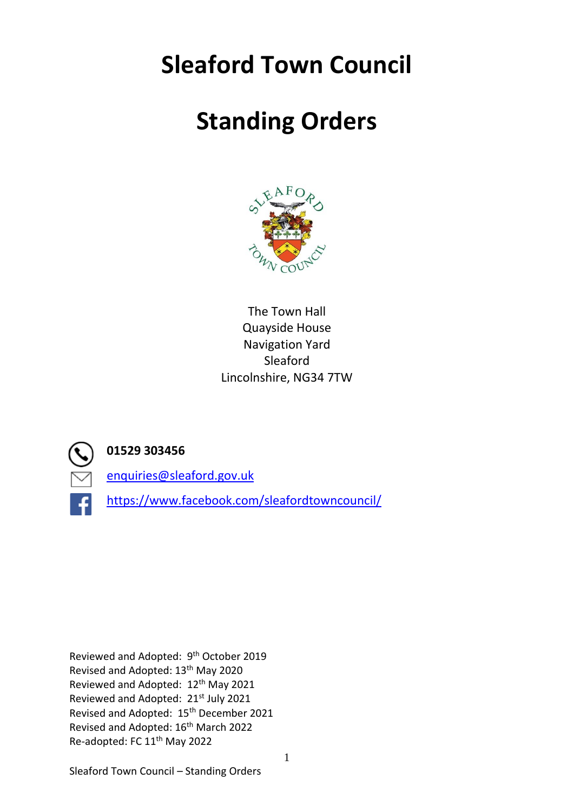# **Sleaford Town Council**

# **Standing Orders**



The Town Hall Quayside House Navigation Yard Sleaford Lincolnshire, NG34 7TW



# **01529 303456**

[enquiries@sleaford.gov.uk](mailto:enquiries@sleaford.gov.uk)

<https://www.facebook.com/sleafordtowncouncil/>

Reviewed and Adopted: 9<sup>th</sup> October 2019 Revised and Adopted: 13th May 2020 Reviewed and Adopted: 12<sup>th</sup> May 2021 Reviewed and Adopted: 21<sup>st</sup> July 2021 Revised and Adopted: 15th December 2021 Revised and Adopted: 16<sup>th</sup> March 2022 Re-adopted: FC 11<sup>th</sup> May 2022

Sleaford Town Council – Standing Orders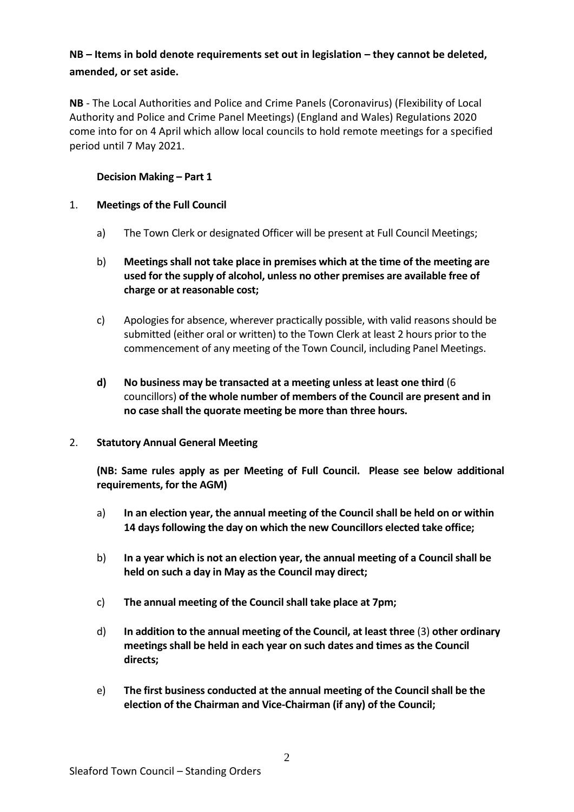# **NB – Items in bold denote requirements set out in legislation – they cannot be deleted, amended, or set aside.**

**NB** - The Local Authorities and Police and Crime Panels (Coronavirus) (Flexibility of Local Authority and Police and Crime Panel Meetings) (England and Wales) Regulations 2020 come into for on 4 April which allow local councils to hold remote meetings for a specified period until 7 May 2021.

# **Decision Making – Part 1**

# 1. **Meetings of the Full Council**

- a) The Town Clerk or designated Officer will be present at Full Council Meetings;
- b) **Meetings shall not take place in premises which at the time of the meeting are used for the supply of alcohol, unless no other premises are available free of charge or at reasonable cost;**
- c) Apologies for absence, wherever practically possible, with valid reasons should be submitted (either oral or written) to the Town Clerk at least 2 hours prior to the commencement of any meeting of the Town Council, including Panel Meetings.
- **d) No business may be transacted at a meeting unless at least one third** (6 councillors) **of the whole number of members of the Council are present and in no case shall the quorate meeting be more than three hours.**

# 2. **Statutory Annual General Meeting**

**(NB: Same rules apply as per Meeting of Full Council. Please see below additional requirements, for the AGM)**

- a) **In an election year, the annual meeting of the Council shall be held on or within 14 days following the day on which the new Councillors elected take office;**
- b) **In a year which is not an election year, the annual meeting of a Council shall be held on such a day in May as the Council may direct;**
- c) **The annual meeting of the Council shall take place at 7pm;**
- d) **In addition to the annual meeting of the Council, at least three** (3) **other ordinary meetings shall be held in each year on such dates and times as the Council directs;**
- e) **The first business conducted at the annual meeting of the Council shall be the election of the Chairman and Vice-Chairman (if any) of the Council;**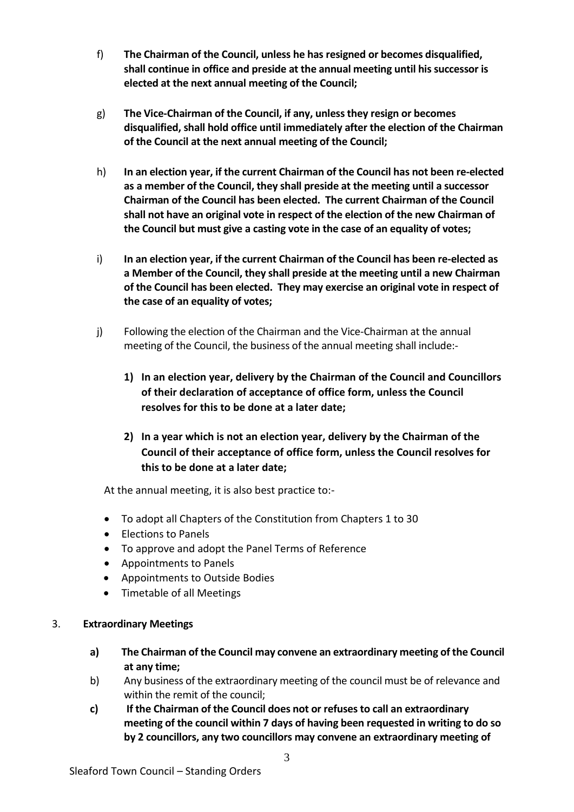- f) **The Chairman of the Council, unless he has resigned or becomes disqualified, shall continue in office and preside at the annual meeting until his successor is elected at the next annual meeting of the Council;**
- g) **The Vice-Chairman of the Council, if any, unless they resign or becomes disqualified, shall hold office until immediately after the election of the Chairman of the Council at the next annual meeting of the Council;**
- h) **In an election year, if the current Chairman of the Council has not been re-elected as a member of the Council, they shall preside at the meeting until a successor Chairman of the Council has been elected. The current Chairman of the Council shall not have an original vote in respect of the election of the new Chairman of the Council but must give a casting vote in the case of an equality of votes;**
- i) **In an election year, if the current Chairman of the Council has been re-elected as a Member of the Council, they shall preside at the meeting until a new Chairman of the Council has been elected. They may exercise an original vote in respect of the case of an equality of votes;**
- j) Following the election of the Chairman and the Vice-Chairman at the annual meeting of the Council, the business of the annual meeting shall include:-
	- **1) In an election year, delivery by the Chairman of the Council and Councillors of their declaration of acceptance of office form, unless the Council resolves for this to be done at a later date;**
	- **2) In a year which is not an election year, delivery by the Chairman of the Council of their acceptance of office form, unless the Council resolves for this to be done at a later date;**

At the annual meeting, it is also best practice to:-

- To adopt all Chapters of the Constitution from Chapters 1 to 30
- Elections to Panels
- To approve and adopt the Panel Terms of Reference
- Appointments to Panels
- Appointments to Outside Bodies
- Timetable of all Meetings

# 3. **Extraordinary Meetings**

- **a) The Chairman of the Council may convene an extraordinary meeting of the Council at any time;**
- b) Any business of the extraordinary meeting of the council must be of relevance and within the remit of the council;
- **c) If the Chairman of the Council does not or refuses to call an extraordinary meeting of the council within 7 days of having been requested in writing to do so by 2 councillors, any two councillors may convene an extraordinary meeting of**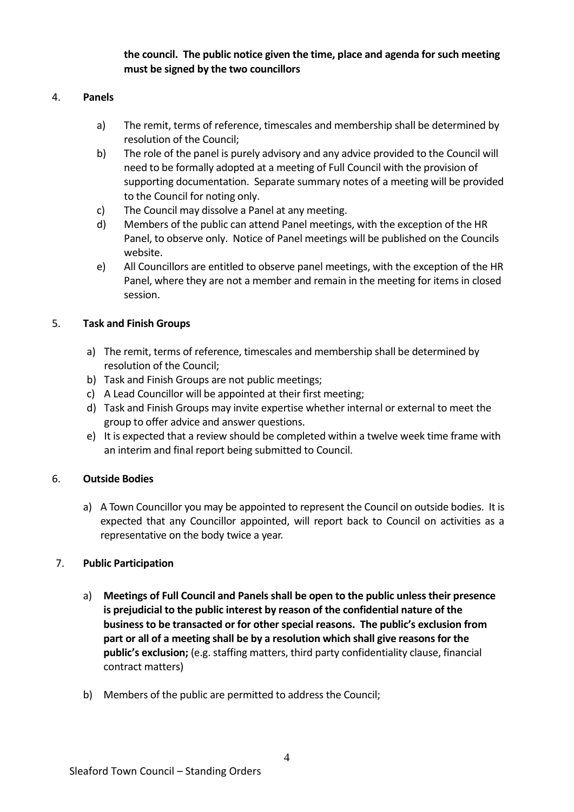**the council. The public notice given the time, place and agenda for such meeting must be signed by the two councillors** 

#### 4. **Panels**

- a) The remit, terms of reference, timescales and membership shall be determined by resolution of the Council;
- b) The role of the panel is purely advisory and any advice provided to the Council will need to be formally adopted at a meeting of Full Council with the provision of supporting documentation. Separate summary notes of a meeting will be provided to the Council for noting only.
- c) The Council may dissolve a Panel at any meeting.
- d) Members of the public can attend Panel meetings, with the exception of the HR Panel, to observe only. Notice of Panel meetings will be published on the Councils website.
- e) All Councillors are entitled to observe panel meetings, with the exception of the HR Panel, where they are not a member and remain in the meeting for items in closed session.

# 5. **Task and Finish Groups**

- a) The remit, terms of reference, timescales and membership shall be determined by resolution of the Council;
- b) Task and Finish Groups are not public meetings;
- c) A Lead Councillor will be appointed at their first meeting;
- d) Task and Finish Groups may invite expertise whether internal or external to meet the group to offer advice and answer questions.
- e) It is expected that a review should be completed within a twelve week time frame with an interim and final report being submitted to Council.

# 6. **Outside Bodies**

a) A Town Councillor you may be appointed to represent the Council on outside bodies. It is expected that any Councillor appointed, will report back to Council on activities as a representative on the body twice a year.

# 7. **Public Participation**

- a) **Meetings of Full Council and Panels shall be open to the public unless their presence is prejudicial to the public interest by reason of the confidential nature of the business to be transacted or for other special reasons. The public's exclusion from part or all of a meeting shall be by a resolution which shall give reasons for the public's exclusion;** (e.g. staffing matters, third party confidentiality clause, financial contract matters)
- b) Members of the public are permitted to address the Council;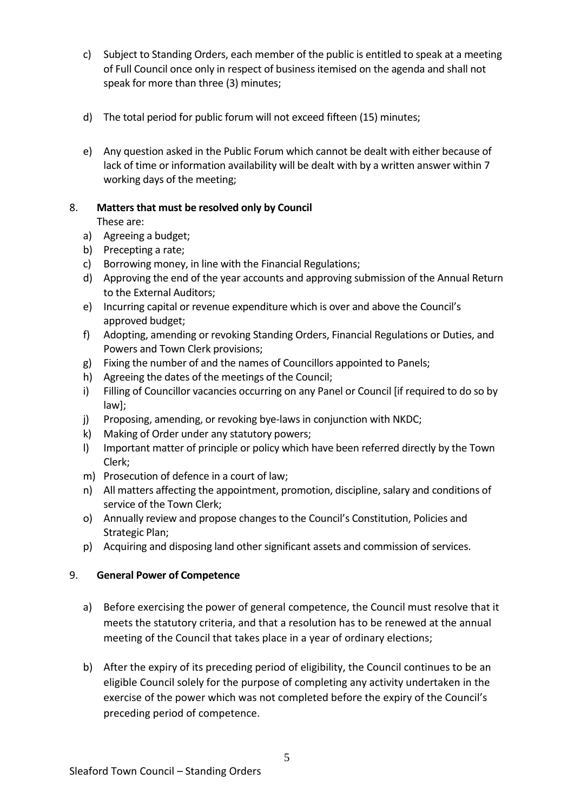- c) Subject to Standing Orders, each member of the public is entitled to speak at a meeting of Full Council once only in respect of business itemised on the agenda and shall not speak for more than three (3) minutes;
- d) The total period for public forum will not exceed fifteen (15) minutes;
- e) Any question asked in the Public Forum which cannot be dealt with either because of lack of time or information availability will be dealt with by a written answer within 7 working days of the meeting;

# 8. **Matters that must be resolved only by Council**

These are:

- a) Agreeing a budget;
- b) Precepting a rate;
- c) Borrowing money, in line with the Financial Regulations;
- d) Approving the end of the year accounts and approving submission of the Annual Return to the External Auditors;
- e) Incurring capital or revenue expenditure which is over and above the Council's approved budget;
- f) Adopting, amending or revoking Standing Orders, Financial Regulations or Duties, and Powers and Town Clerk provisions;
- g) Fixing the number of and the names of Councillors appointed to Panels;
- h) Agreeing the dates of the meetings of the Council;
- i) Filling of Councillor vacancies occurring on any Panel or Council [if required to do so by law];
- j) Proposing, amending, or revoking bye-laws in conjunction with NKDC;
- k) Making of Order under any statutory powers;
- l) Important matter of principle or policy which have been referred directly by the Town Clerk;
- m) Prosecution of defence in a court of law;
- n) All matters affecting the appointment, promotion, discipline, salary and conditions of service of the Town Clerk;
- o) Annually review and propose changes to the Council's Constitution, Policies and Strategic Plan;
- p) Acquiring and disposing land other significant assets and commission of services.

# 9. **General Power of Competence**

- a) Before exercising the power of general competence, the Council must resolve that it meets the statutory criteria, and that a resolution has to be renewed at the annual meeting of the Council that takes place in a year of ordinary elections;
- b) After the expiry of its preceding period of eligibility, the Council continues to be an eligible Council solely for the purpose of completing any activity undertaken in the exercise of the power which was not completed before the expiry of the Council's preceding period of competence.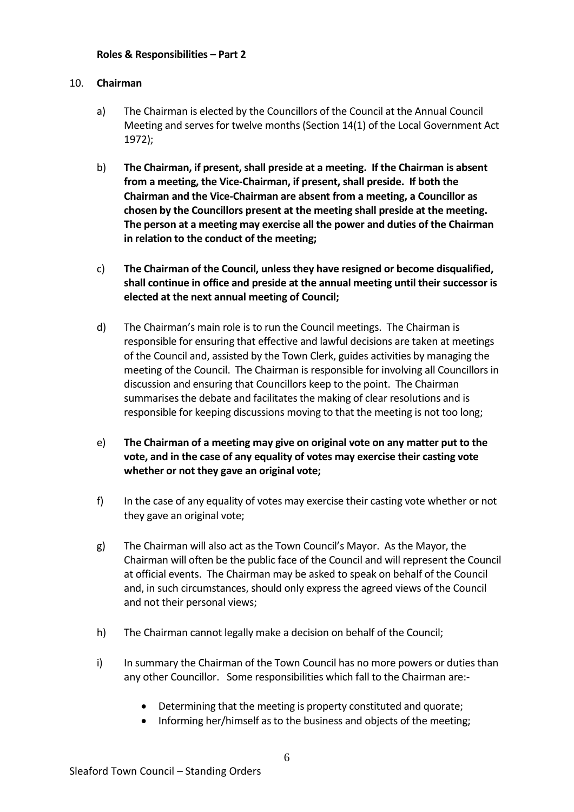#### 10. **Chairman**

- a) The Chairman is elected by the Councillors of the Council at the Annual Council Meeting and serves for twelve months (Section 14(1) of the Local Government Act 1972);
- b) **The Chairman, if present, shall preside at a meeting. If the Chairman is absent from a meeting, the Vice-Chairman, if present, shall preside. If both the Chairman and the Vice-Chairman are absent from a meeting, a Councillor as chosen by the Councillors present at the meeting shall preside at the meeting. The person at a meeting may exercise all the power and duties of the Chairman in relation to the conduct of the meeting;**
- c) **The Chairman of the Council, unless they have resigned or become disqualified, shall continue in office and preside at the annual meeting until their successor is elected at the next annual meeting of Council;**
- d) The Chairman's main role is to run the Council meetings. The Chairman is responsible for ensuring that effective and lawful decisions are taken at meetings of the Council and, assisted by the Town Clerk, guides activities by managing the meeting of the Council. The Chairman is responsible for involving all Councillors in discussion and ensuring that Councillors keep to the point. The Chairman summarises the debate and facilitates the making of clear resolutions and is responsible for keeping discussions moving to that the meeting is not too long;
- e) **The Chairman of a meeting may give on original vote on any matter put to the vote, and in the case of any equality of votes may exercise their casting vote whether or not they gave an original vote;**
- f) In the case of any equality of votes may exercise their casting vote whether or not they gave an original vote;
- g) The Chairman will also act as the Town Council's Mayor. As the Mayor, the Chairman will often be the public face of the Council and will represent the Council at official events. The Chairman may be asked to speak on behalf of the Council and, in such circumstances, should only express the agreed views of the Council and not their personal views;
- h) The Chairman cannot legally make a decision on behalf of the Council;
- i) In summary the Chairman of the Town Council has no more powers or duties than any other Councillor. Some responsibilities which fall to the Chairman are:-
	- Determining that the meeting is property constituted and quorate;
	- Informing her/himself as to the business and objects of the meeting;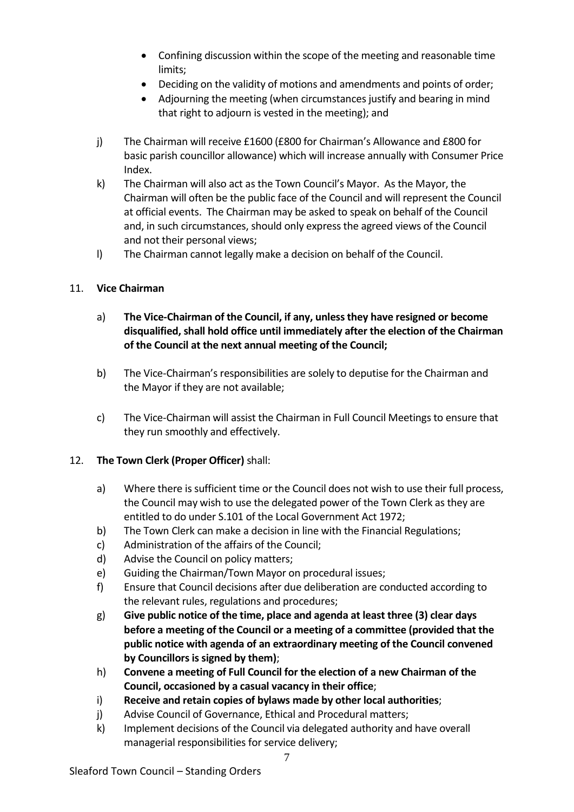- Confining discussion within the scope of the meeting and reasonable time limits;
- Deciding on the validity of motions and amendments and points of order;
- Adjourning the meeting (when circumstances justify and bearing in mind that right to adjourn is vested in the meeting); and
- j) The Chairman will receive £1600 (£800 for Chairman's Allowance and £800 for basic parish councillor allowance) which will increase annually with Consumer Price Index.
- k) The Chairman will also act as the Town Council's Mayor. As the Mayor, the Chairman will often be the public face of the Council and will represent the Council at official events. The Chairman may be asked to speak on behalf of the Council and, in such circumstances, should only express the agreed views of the Council and not their personal views;
- l) The Chairman cannot legally make a decision on behalf of the Council.

# 11. **Vice Chairman**

- a) **The Vice-Chairman of the Council, if any, unless they have resigned or become disqualified, shall hold office until immediately after the election of the Chairman of the Council at the next annual meeting of the Council;**
- b) The Vice-Chairman's responsibilities are solely to deputise for the Chairman and the Mayor if they are not available;
- c) The Vice-Chairman will assist the Chairman in Full Council Meetings to ensure that they run smoothly and effectively.

# 12. **The Town Clerk (Proper Officer)** shall:

- a) Where there is sufficient time or the Council does not wish to use their full process, the Council may wish to use the delegated power of the Town Clerk as they are entitled to do under S.101 of the Local Government Act 1972;
- b) The Town Clerk can make a decision in line with the Financial Regulations;
- c) Administration of the affairs of the Council;
- d) Advise the Council on policy matters;
- e) Guiding the Chairman/Town Mayor on procedural issues;
- f) Ensure that Council decisions after due deliberation are conducted according to the relevant rules, regulations and procedures;
- g) **Give public notice of the time, place and agenda at least three (3) clear days before a meeting of the Council or a meeting of a committee (provided that the public notice with agenda of an extraordinary meeting of the Council convened by Councillors is signed by them)**;
- h) **Convene a meeting of Full Council for the election of a new Chairman of the Council, occasioned by a casual vacancy in their office**;
- i) **Receive and retain copies of bylaws made by other local authorities**;
- j) Advise Council of Governance, Ethical and Procedural matters;
- k) Implement decisions of the Council via delegated authority and have overall managerial responsibilities for service delivery;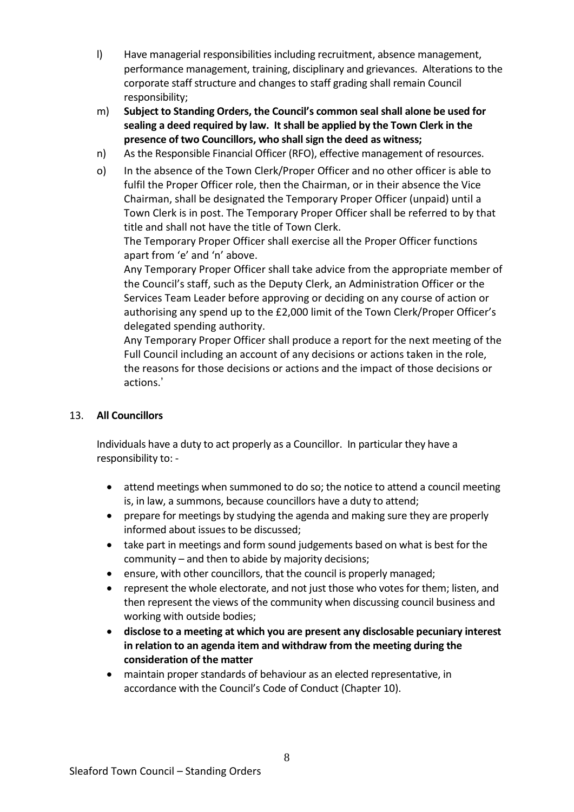- l) Have managerial responsibilities including recruitment, absence management, performance management, training, disciplinary and grievances. Alterations to the corporate staff structure and changes to staff grading shall remain Council responsibility;
- m) **Subject to Standing Orders, the Council's common seal shall alone be used for sealing a deed required by law. It shall be applied by the Town Clerk in the presence of two Councillors, who shall sign the deed as witness;**
- n) As the Responsible Financial Officer (RFO), effective management of resources.
- o) In the absence of the Town Clerk/Proper Officer and no other officer is able to fulfil the Proper Officer role, then the Chairman, or in their absence the Vice Chairman, shall be designated the Temporary Proper Officer (unpaid) until a Town Clerk is in post. The Temporary Proper Officer shall be referred to by that title and shall not have the title of Town Clerk.

The Temporary Proper Officer shall exercise all the Proper Officer functions apart from 'e' and 'n' above.

Any Temporary Proper Officer shall take advice from the appropriate member of the Council's staff, such as the Deputy Clerk, an Administration Officer or the Services Team Leader before approving or deciding on any course of action or authorising any spend up to the £2,000 limit of the Town Clerk/Proper Officer's delegated spending authority.

Any Temporary Proper Officer shall produce a report for the next meeting of the Full Council including an account of any decisions or actions taken in the role, the reasons for those decisions or actions and the impact of those decisions or actions.'

# 13. **All Councillors**

Individuals have a duty to act properly as a Councillor. In particular they have a responsibility to: -

- attend meetings when summoned to do so; the notice to attend a council meeting is, in law, a summons, because councillors have a duty to attend;
- prepare for meetings by studying the agenda and making sure they are properly informed about issues to be discussed;
- take part in meetings and form sound judgements based on what is best for the community – and then to abide by majority decisions;
- ensure, with other councillors, that the council is properly managed;
- represent the whole electorate, and not just those who votes for them; listen, and then represent the views of the community when discussing council business and working with outside bodies;
- **disclose to a meeting at which you are present any disclosable pecuniary interest in relation to an agenda item and withdraw from the meeting during the consideration of the matter**
- maintain proper standards of behaviour as an elected representative, in accordance with the Council's Code of Conduct (Chapter 10).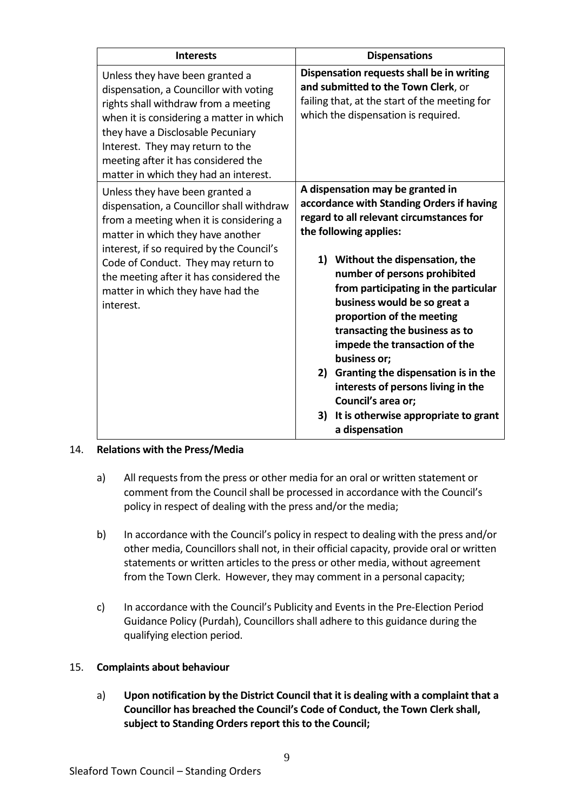| <b>Interests</b>                                                                                                                                                                                                                                                                                                                              | <b>Dispensations</b>                                                                                                                                                                                                                                                                                                                                                                                                                                                                                                                                                                  |
|-----------------------------------------------------------------------------------------------------------------------------------------------------------------------------------------------------------------------------------------------------------------------------------------------------------------------------------------------|---------------------------------------------------------------------------------------------------------------------------------------------------------------------------------------------------------------------------------------------------------------------------------------------------------------------------------------------------------------------------------------------------------------------------------------------------------------------------------------------------------------------------------------------------------------------------------------|
| Unless they have been granted a<br>dispensation, a Councillor with voting<br>rights shall withdraw from a meeting<br>when it is considering a matter in which<br>they have a Disclosable Pecuniary<br>Interest. They may return to the<br>meeting after it has considered the<br>matter in which they had an interest.                        | Dispensation requests shall be in writing<br>and submitted to the Town Clerk, or<br>failing that, at the start of the meeting for<br>which the dispensation is required.                                                                                                                                                                                                                                                                                                                                                                                                              |
| Unless they have been granted a<br>dispensation, a Councillor shall withdraw<br>from a meeting when it is considering a<br>matter in which they have another<br>interest, if so required by the Council's<br>Code of Conduct. They may return to<br>the meeting after it has considered the<br>matter in which they have had the<br>interest. | A dispensation may be granted in<br>accordance with Standing Orders if having<br>regard to all relevant circumstances for<br>the following applies:<br>1) Without the dispensation, the<br>number of persons prohibited<br>from participating in the particular<br>business would be so great a<br>proportion of the meeting<br>transacting the business as to<br>impede the transaction of the<br>business or;<br>2) Granting the dispensation is in the<br>interests of persons living in the<br>Council's area or;<br>3)<br>It is otherwise appropriate to grant<br>a dispensation |

# 14. **Relations with the Press/Media**

- a) All requests from the press or other media for an oral or written statement or comment from the Council shall be processed in accordance with the Council's policy in respect of dealing with the press and/or the media;
- b) In accordance with the Council's policy in respect to dealing with the press and/or other media, Councillors shall not, in their official capacity, provide oral or written statements or written articles to the press or other media, without agreement from the Town Clerk. However, they may comment in a personal capacity;
- c) In accordance with the Council's Publicity and Events in the Pre-Election Period Guidance Policy (Purdah), Councillors shall adhere to this guidance during the qualifying election period.

#### 15. **Complaints about behaviour**

a) **Upon notification by the District Council that it is dealing with a complaint that a Councillor has breached the Council's Code of Conduct, the Town Clerk shall, subject to Standing Orders report this to the Council;**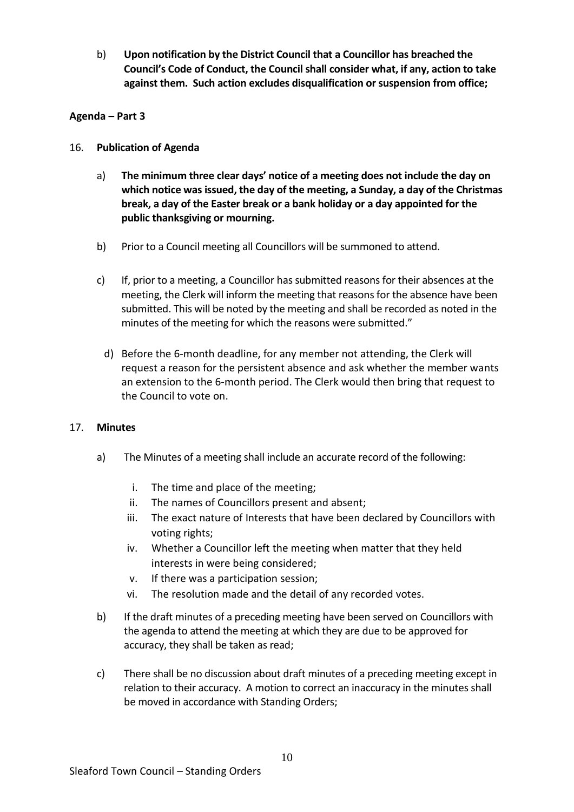b) **Upon notification by the District Council that a Councillor has breached the Council's Code of Conduct, the Council shall consider what, if any, action to take against them. Such action excludes disqualification or suspension from office;**

#### **Agenda – Part 3**

#### 16. **Publication of Agenda**

- a) **The minimum three clear days' notice of a meeting does not include the day on which notice was issued, the day of the meeting, a Sunday, a day of the Christmas break, a day of the Easter break or a bank holiday or a day appointed for the public thanksgiving or mourning.**
- b) Prior to a Council meeting all Councillors will be summoned to attend.
- c) If, prior to a meeting, a Councillor has submitted reasons for their absences at the meeting, the Clerk will inform the meeting that reasons for the absence have been submitted. This will be noted by the meeting and shall be recorded as noted in the minutes of the meeting for which the reasons were submitted."
	- d) Before the 6-month deadline, for any member not attending, the Clerk will request a reason for the persistent absence and ask whether the member wants an extension to the 6-month period. The Clerk would then bring that request to the Council to vote on.

#### 17. **Minutes**

- a) The Minutes of a meeting shall include an accurate record of the following:
	- i. The time and place of the meeting;
	- ii. The names of Councillors present and absent;
	- iii. The exact nature of Interests that have been declared by Councillors with voting rights;
	- iv. Whether a Councillor left the meeting when matter that they held interests in were being considered;
	- v. If there was a participation session;
	- vi. The resolution made and the detail of any recorded votes.
- b) If the draft minutes of a preceding meeting have been served on Councillors with the agenda to attend the meeting at which they are due to be approved for accuracy, they shall be taken as read;
- c) There shall be no discussion about draft minutes of a preceding meeting except in relation to their accuracy. A motion to correct an inaccuracy in the minutes shall be moved in accordance with Standing Orders;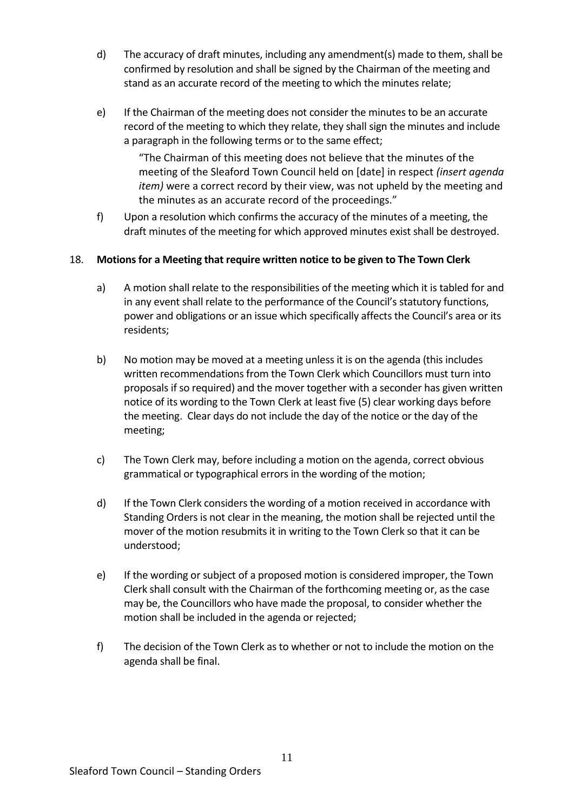- d) The accuracy of draft minutes, including any amendment(s) made to them, shall be confirmed by resolution and shall be signed by the Chairman of the meeting and stand as an accurate record of the meeting to which the minutes relate;
- e) If the Chairman of the meeting does not consider the minutes to be an accurate record of the meeting to which they relate, they shall sign the minutes and include a paragraph in the following terms or to the same effect;

"The Chairman of this meeting does not believe that the minutes of the meeting of the Sleaford Town Council held on [date] in respect *(insert agenda item)* were a correct record by their view, was not upheld by the meeting and the minutes as an accurate record of the proceedings."

f) Upon a resolution which confirms the accuracy of the minutes of a meeting, the draft minutes of the meeting for which approved minutes exist shall be destroyed.

# 18. **Motions for a Meeting that require written notice to be given to The Town Clerk**

- a) A motion shall relate to the responsibilities of the meeting which it is tabled for and in any event shall relate to the performance of the Council's statutory functions, power and obligations or an issue which specifically affects the Council's area or its residents;
- b) No motion may be moved at a meeting unless it is on the agenda (this includes written recommendations from the Town Clerk which Councillors must turn into proposals if so required) and the mover together with a seconder has given written notice of its wording to the Town Clerk at least five (5) clear working days before the meeting. Clear days do not include the day of the notice or the day of the meeting;
- c) The Town Clerk may, before including a motion on the agenda, correct obvious grammatical or typographical errors in the wording of the motion;
- d) If the Town Clerk considers the wording of a motion received in accordance with Standing Orders is not clear in the meaning, the motion shall be rejected until the mover of the motion resubmits it in writing to the Town Clerk so that it can be understood;
- e) If the wording or subject of a proposed motion is considered improper, the Town Clerk shall consult with the Chairman of the forthcoming meeting or, as the case may be, the Councillors who have made the proposal, to consider whether the motion shall be included in the agenda or rejected;
- f) The decision of the Town Clerk as to whether or not to include the motion on the agenda shall be final.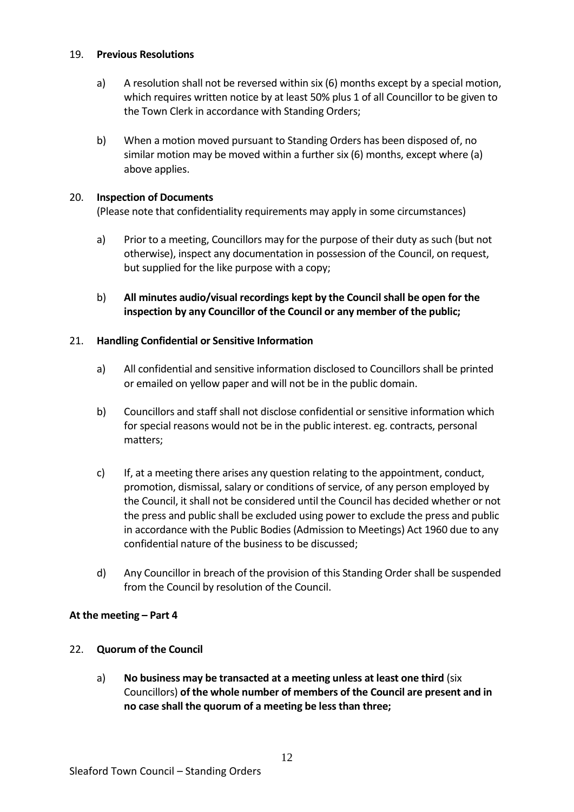#### 19. **Previous Resolutions**

- a) A resolution shall not be reversed within six (6) months except by a special motion, which requires written notice by at least 50% plus 1 of all Councillor to be given to the Town Clerk in accordance with Standing Orders;
- b) When a motion moved pursuant to Standing Orders has been disposed of, no similar motion may be moved within a further six (6) months, except where (a) above applies.

#### 20. **Inspection of Documents**

(Please note that confidentiality requirements may apply in some circumstances)

- a) Prior to a meeting, Councillors may for the purpose of their duty as such (but not otherwise), inspect any documentation in possession of the Council, on request, but supplied for the like purpose with a copy;
- b) **All minutes audio/visual recordings kept by the Council shall be open for the inspection by any Councillor of the Council or any member of the public;**

#### 21. **Handling Confidential or Sensitive Information**

- a) All confidential and sensitive information disclosed to Councillors shall be printed or emailed on yellow paper and will not be in the public domain.
- b) Councillors and staff shall not disclose confidential or sensitive information which for special reasons would not be in the public interest. eg. contracts, personal matters;
- c) If, at a meeting there arises any question relating to the appointment, conduct, promotion, dismissal, salary or conditions of service, of any person employed by the Council, it shall not be considered until the Council has decided whether or not the press and public shall be excluded using power to exclude the press and public in accordance with the Public Bodies (Admission to Meetings) Act 1960 due to any confidential nature of the business to be discussed;
- d) Any Councillor in breach of the provision of this Standing Order shall be suspended from the Council by resolution of the Council.

#### **At the meeting – Part 4**

#### 22. **Quorum of the Council**

a) **No business may be transacted at a meeting unless at least one third** (six Councillors) **of the whole number of members of the Council are present and in no case shall the quorum of a meeting be less than three;**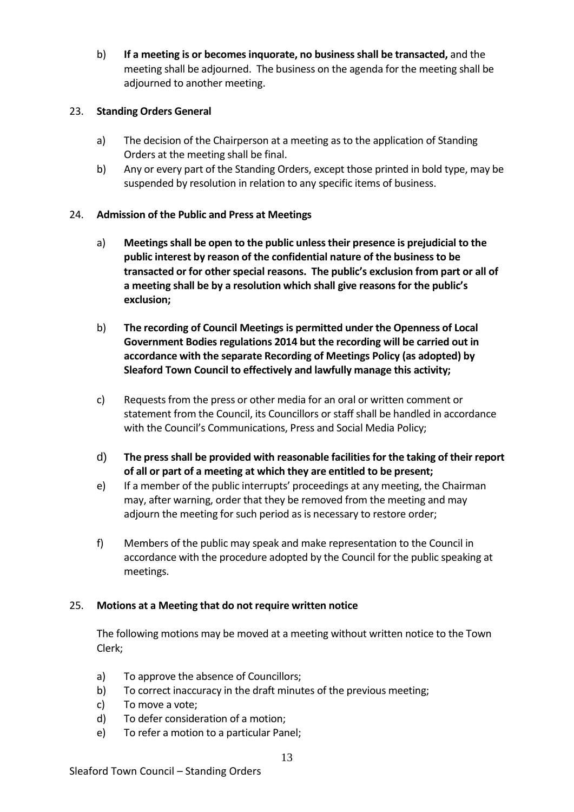b) **If a meeting is or becomes inquorate, no business shall be transacted,** and the meeting shall be adjourned. The business on the agenda for the meeting shall be adjourned to another meeting.

#### 23. **Standing Orders General**

- a) The decision of the Chairperson at a meeting as to the application of Standing Orders at the meeting shall be final.
- b) Any or every part of the Standing Orders, except those printed in bold type, may be suspended by resolution in relation to any specific items of business.

# 24. **Admission of the Public and Press at Meetings**

- a) **Meetings shall be open to the public unless their presence is prejudicial to the public interest by reason of the confidential nature of the business to be transacted or for other special reasons. The public's exclusion from part or all of a meeting shall be by a resolution which shall give reasons for the public's exclusion;**
- b) **The recording of Council Meetings is permitted under the Openness of Local Government Bodies regulations 2014 but the recording will be carried out in accordance with the separate Recording of Meetings Policy (as adopted) by Sleaford Town Council to effectively and lawfully manage this activity;**
- c) Requests from the press or other media for an oral or written comment or statement from the Council, its Councillors or staff shall be handled in accordance with the Council's Communications, Press and Social Media Policy;
- d) **The press shall be provided with reasonable facilities for the taking of their report of all or part of a meeting at which they are entitled to be present;**
- e) If a member of the public interrupts' proceedings at any meeting, the Chairman may, after warning, order that they be removed from the meeting and may adjourn the meeting for such period as is necessary to restore order;
- f) Members of the public may speak and make representation to the Council in accordance with the procedure adopted by the Council for the public speaking at meetings.

#### 25. **Motions at a Meeting that do not require written notice**

The following motions may be moved at a meeting without written notice to the Town Clerk;

- a) To approve the absence of Councillors;
- b) To correct inaccuracy in the draft minutes of the previous meeting;
- c) To move a vote;
- d) To defer consideration of a motion;
- e) To refer a motion to a particular Panel;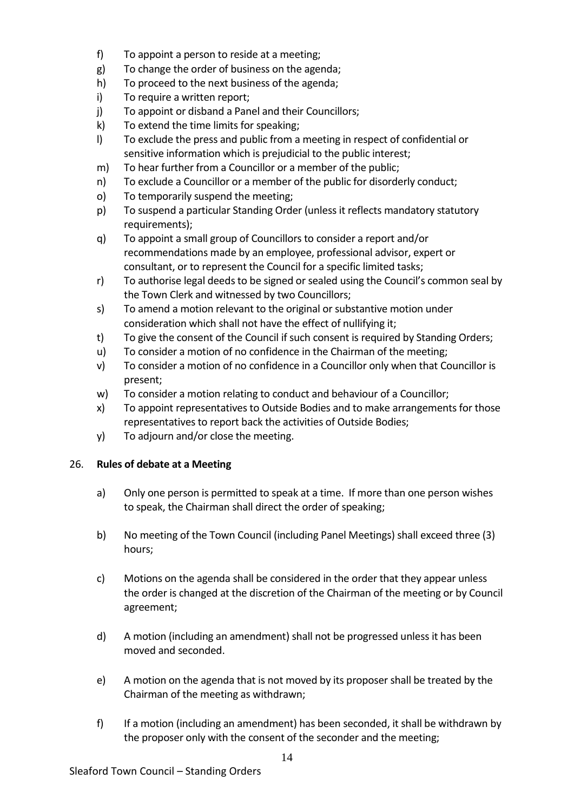- f) To appoint a person to reside at a meeting;
- g) To change the order of business on the agenda;
- h) To proceed to the next business of the agenda;
- i) To require a written report;
- j) To appoint or disband a Panel and their Councillors;
- k) To extend the time limits for speaking;
- l) To exclude the press and public from a meeting in respect of confidential or sensitive information which is prejudicial to the public interest;
- m) To hear further from a Councillor or a member of the public;
- n) To exclude a Councillor or a member of the public for disorderly conduct;
- o) To temporarily suspend the meeting;
- p) To suspend a particular Standing Order (unless it reflects mandatory statutory requirements);
- q) To appoint a small group of Councillors to consider a report and/or recommendations made by an employee, professional advisor, expert or consultant, or to represent the Council for a specific limited tasks;
- r) To authorise legal deeds to be signed or sealed using the Council's common seal by the Town Clerk and witnessed by two Councillors;
- s) To amend a motion relevant to the original or substantive motion under consideration which shall not have the effect of nullifying it;
- t) To give the consent of the Council if such consent is required by Standing Orders;
- u) To consider a motion of no confidence in the Chairman of the meeting;
- v) To consider a motion of no confidence in a Councillor only when that Councillor is present;
- w) To consider a motion relating to conduct and behaviour of a Councillor;
- x) To appoint representatives to Outside Bodies and to make arrangements for those representatives to report back the activities of Outside Bodies;
- y) To adjourn and/or close the meeting.

# 26. **Rules of debate at a Meeting**

- a) Only one person is permitted to speak at a time. If more than one person wishes to speak, the Chairman shall direct the order of speaking;
- b) No meeting of the Town Council (including Panel Meetings) shall exceed three (3) hours;
- c) Motions on the agenda shall be considered in the order that they appear unless the order is changed at the discretion of the Chairman of the meeting or by Council agreement;
- d) A motion (including an amendment) shall not be progressed unless it has been moved and seconded.
- e) A motion on the agenda that is not moved by its proposer shall be treated by the Chairman of the meeting as withdrawn;
- f) If a motion (including an amendment) has been seconded, it shall be withdrawn by the proposer only with the consent of the seconder and the meeting;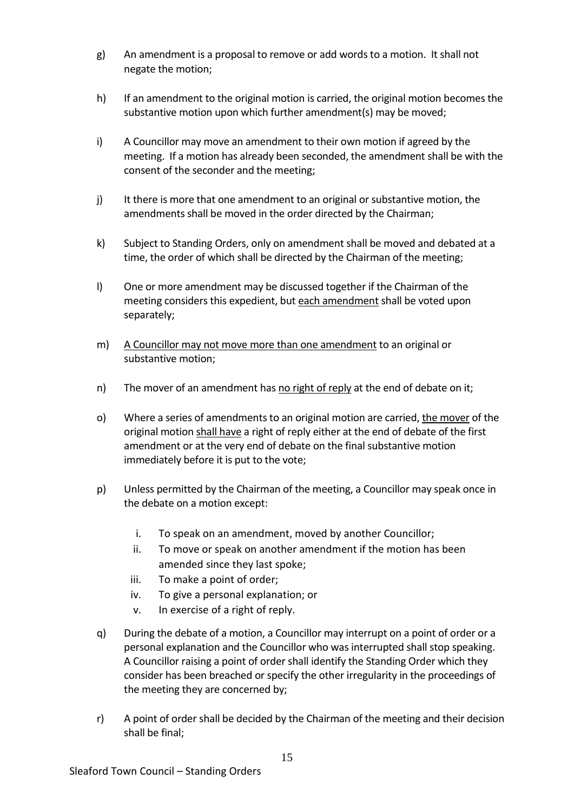- g) An amendment is a proposal to remove or add words to a motion. It shall not negate the motion;
- h) If an amendment to the original motion is carried, the original motion becomes the substantive motion upon which further amendment(s) may be moved;
- i) A Councillor may move an amendment to their own motion if agreed by the meeting. If a motion has already been seconded, the amendment shall be with the consent of the seconder and the meeting;
- j) It there is more that one amendment to an original or substantive motion, the amendments shall be moved in the order directed by the Chairman;
- k) Subject to Standing Orders, only on amendment shall be moved and debated at a time, the order of which shall be directed by the Chairman of the meeting;
- l) One or more amendment may be discussed together if the Chairman of the meeting considers this expedient, but each amendment shall be voted upon separately;
- m) A Councillor may not move more than one amendment to an original or substantive motion;
- n) The mover of an amendment has no right of reply at the end of debate on it;
- o) Where a series of amendments to an original motion are carried, the mover of the original motion shall have a right of reply either at the end of debate of the first amendment or at the very end of debate on the final substantive motion immediately before it is put to the vote;
- p) Unless permitted by the Chairman of the meeting, a Councillor may speak once in the debate on a motion except:
	- i. To speak on an amendment, moved by another Councillor;
	- ii. To move or speak on another amendment if the motion has been amended since they last spoke;
	- iii. To make a point of order;
	- iv. To give a personal explanation; or
	- v. In exercise of a right of reply.
- q) During the debate of a motion, a Councillor may interrupt on a point of order or a personal explanation and the Councillor who was interrupted shall stop speaking. A Councillor raising a point of order shall identify the Standing Order which they consider has been breached or specify the other irregularity in the proceedings of the meeting they are concerned by;
- r) A point of order shall be decided by the Chairman of the meeting and their decision shall be final;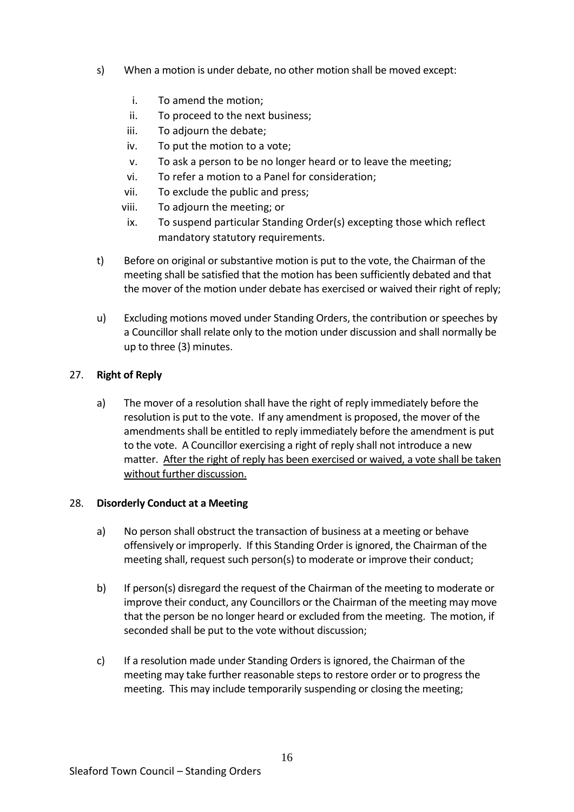- s) When a motion is under debate, no other motion shall be moved except:
	- i. To amend the motion;
	- ii. To proceed to the next business;
	- iii. To adjourn the debate;
	- iv. To put the motion to a vote;
	- v. To ask a person to be no longer heard or to leave the meeting;
	- vi. To refer a motion to a Panel for consideration;
	- vii. To exclude the public and press;
	- viii. To adjourn the meeting; or
	- ix. To suspend particular Standing Order(s) excepting those which reflect mandatory statutory requirements.
- t) Before on original or substantive motion is put to the vote, the Chairman of the meeting shall be satisfied that the motion has been sufficiently debated and that the mover of the motion under debate has exercised or waived their right of reply;
- u) Excluding motions moved under Standing Orders, the contribution or speeches by a Councillor shall relate only to the motion under discussion and shall normally be up to three (3) minutes.

#### 27. **Right of Reply**

a) The mover of a resolution shall have the right of reply immediately before the resolution is put to the vote. If any amendment is proposed, the mover of the amendments shall be entitled to reply immediately before the amendment is put to the vote. A Councillor exercising a right of reply shall not introduce a new matter. After the right of reply has been exercised or waived, a vote shall be taken without further discussion.

#### 28. **Disorderly Conduct at a Meeting**

- a) No person shall obstruct the transaction of business at a meeting or behave offensively or improperly. If this Standing Order is ignored, the Chairman of the meeting shall, request such person(s) to moderate or improve their conduct;
- b) If person(s) disregard the request of the Chairman of the meeting to moderate or improve their conduct, any Councillors or the Chairman of the meeting may move that the person be no longer heard or excluded from the meeting. The motion, if seconded shall be put to the vote without discussion;
- c) If a resolution made under Standing Orders is ignored, the Chairman of the meeting may take further reasonable steps to restore order or to progress the meeting. This may include temporarily suspending or closing the meeting;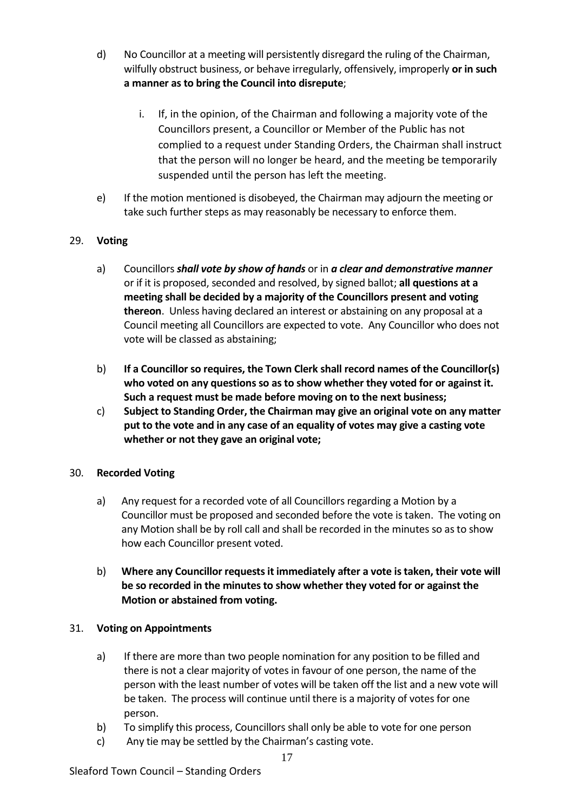- d) No Councillor at a meeting will persistently disregard the ruling of the Chairman, wilfully obstruct business, or behave irregularly, offensively, improperly **or in such a manner as to bring the Council into disrepute**;
	- i. If, in the opinion, of the Chairman and following a majority vote of the Councillors present, a Councillor or Member of the Public has not complied to a request under Standing Orders, the Chairman shall instruct that the person will no longer be heard, and the meeting be temporarily suspended until the person has left the meeting.
- e) If the motion mentioned is disobeyed, the Chairman may adjourn the meeting or take such further steps as may reasonably be necessary to enforce them.

# 29. **Voting**

- a) Councillors *shall vote by show of hands* or in *a clear and demonstrative manner* or if it is proposed, seconded and resolved, by signed ballot; **all questions at a meeting shall be decided by a majority of the Councillors present and voting thereon**. Unless having declared an interest or abstaining on any proposal at a Council meeting all Councillors are expected to vote. Any Councillor who does not vote will be classed as abstaining;
- b) **If a Councillor so requires, the Town Clerk shall record names of the Councillor(s) who voted on any questions so as to show whether they voted for or against it. Such a request must be made before moving on to the next business;**
- c) **Subject to Standing Order, the Chairman may give an original vote on any matter put to the vote and in any case of an equality of votes may give a casting vote whether or not they gave an original vote;**

# 30. **Recorded Voting**

- a) Any request for a recorded vote of all Councillors regarding a Motion by a Councillor must be proposed and seconded before the vote is taken. The voting on any Motion shall be by roll call and shall be recorded in the minutes so as to show how each Councillor present voted.
- b) **Where any Councillor requests it immediately after a vote is taken, their vote will be so recorded in the minutes to show whether they voted for or against the Motion or abstained from voting.**

# 31. **Voting on Appointments**

- a) If there are more than two people nomination for any position to be filled and there is not a clear majority of votes in favour of one person, the name of the person with the least number of votes will be taken off the list and a new vote will be taken. The process will continue until there is a majority of votes for one person.
- b) To simplify this process, Councillors shall only be able to vote for one person
- c) Any tie may be settled by the Chairman's casting vote.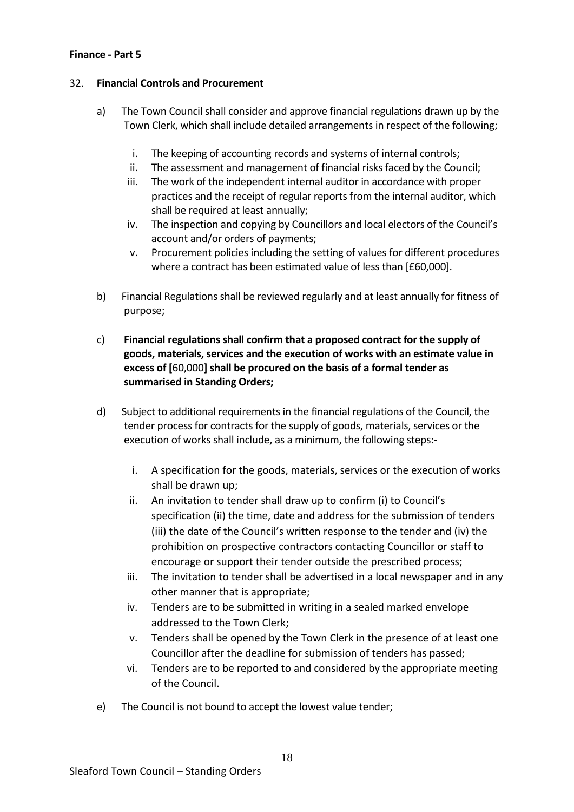#### **Finance - Part 5**

### 32. **Financial Controls and Procurement**

- a) The Town Council shall consider and approve financial regulations drawn up by the Town Clerk, which shall include detailed arrangements in respect of the following;
	- i. The keeping of accounting records and systems of internal controls;
	- ii. The assessment and management of financial risks faced by the Council;
	- iii. The work of the independent internal auditor in accordance with proper practices and the receipt of regular reports from the internal auditor, which shall be required at least annually;
	- iv. The inspection and copying by Councillors and local electors of the Council's account and/or orders of payments;
	- v. Procurement policies including the setting of values for different procedures where a contract has been estimated value of less than [£60,000].
- b) Financial Regulations shall be reviewed regularly and at least annually for fitness of purpose;
- c) **Financial regulations shall confirm that a proposed contract for the supply of goods, materials, services and the execution of works with an estimate value in excess of [**60,000**] shall be procured on the basis of a formal tender as summarised in Standing Orders;**
- d) Subject to additional requirements in the financial regulations of the Council, the tender process for contracts for the supply of goods, materials, services or the execution of works shall include, as a minimum, the following steps:
	- i. A specification for the goods, materials, services or the execution of works shall be drawn up;
	- ii. An invitation to tender shall draw up to confirm (i) to Council's specification (ii) the time, date and address for the submission of tenders (iii) the date of the Council's written response to the tender and (iv) the prohibition on prospective contractors contacting Councillor or staff to encourage or support their tender outside the prescribed process;
	- iii. The invitation to tender shall be advertised in a local newspaper and in any other manner that is appropriate;
	- iv. Tenders are to be submitted in writing in a sealed marked envelope addressed to the Town Clerk;
	- v. Tenders shall be opened by the Town Clerk in the presence of at least one Councillor after the deadline for submission of tenders has passed;
	- vi. Tenders are to be reported to and considered by the appropriate meeting of the Council.
- e) The Council is not bound to accept the lowest value tender;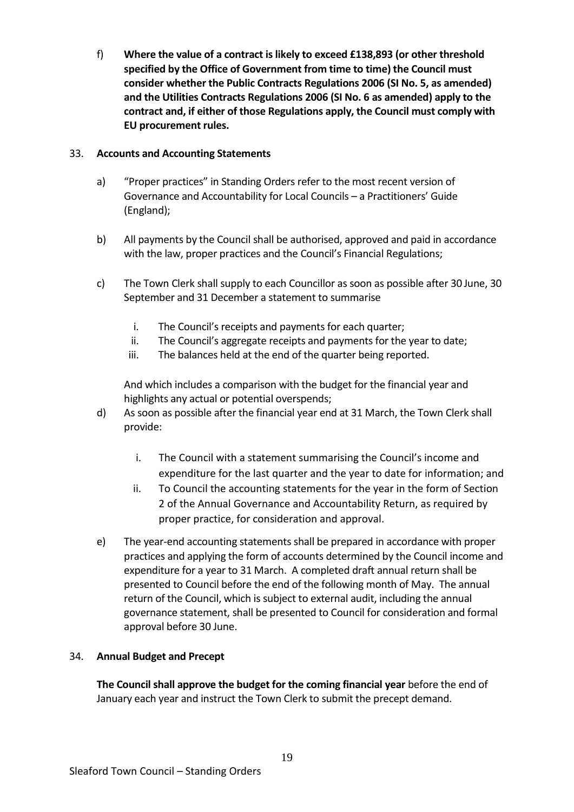f) **Where the value of a contract is likely to exceed £138,893 (or other threshold specified by the Office of Government from time to time) the Council must consider whether the Public Contracts Regulations 2006 (SI No. 5, as amended) and the Utilities Contracts Regulations 2006 (SI No. 6 as amended) apply to the contract and, if either of those Regulations apply, the Council must comply with EU procurement rules.**

### 33. **Accounts and Accounting Statements**

- a) "Proper practices" in Standing Orders refer to the most recent version of Governance and Accountability for Local Councils – a Practitioners' Guide (England);
- b) All payments by the Council shall be authorised, approved and paid in accordance with the law, proper practices and the Council's Financial Regulations;
- c) The Town Clerk shall supply to each Councillor as soon as possible after 30 June, 30 September and 31 December a statement to summarise
	- i. The Council's receipts and payments for each quarter;
	- ii. The Council's aggregate receipts and payments for the year to date;
	- iii. The balances held at the end of the quarter being reported.

And which includes a comparison with the budget for the financial year and highlights any actual or potential overspends;

- d) As soon as possible after the financial year end at 31 March, the Town Clerk shall provide:
	- i. The Council with a statement summarising the Council's income and expenditure for the last quarter and the year to date for information; and
	- ii. To Council the accounting statements for the year in the form of Section 2 of the Annual Governance and Accountability Return, as required by proper practice, for consideration and approval.
- e) The year-end accounting statements shall be prepared in accordance with proper practices and applying the form of accounts determined by the Council income and expenditure for a year to 31 March. A completed draft annual return shall be presented to Council before the end of the following month of May. The annual return of the Council, which is subject to external audit, including the annual governance statement, shall be presented to Council for consideration and formal approval before 30 June.

# 34. **Annual Budget and Precept**

**The Council shall approve the budget for the coming financial year** before the end of January each year and instruct the Town Clerk to submit the precept demand.